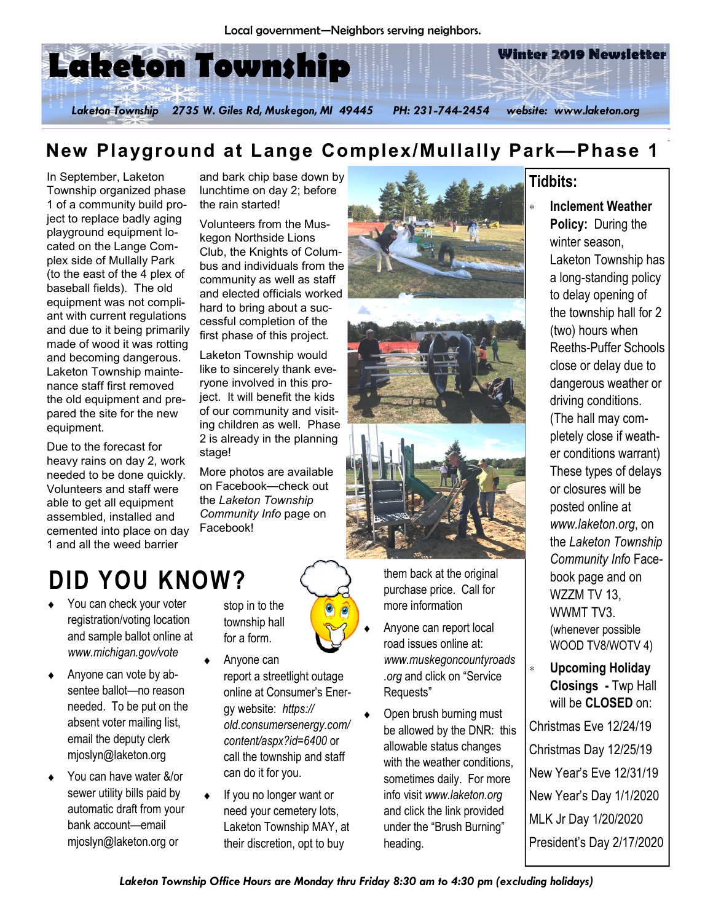

# New Playground at Lange Complex/Mullally Park**—**Phase 1

In September, Laketon Township organized phase 1 of a community build project to replace badly aging playground equipment located on the Lange Complex side of Mullally Park (to the east of the 4 plex of baseball fields). The old equipment was not compliant with current regulations and due to it being primarily made of wood it was rotting and becoming dangerous. Laketon Township maintenance staff first removed the old equipment and prepared the site for the new equipment.

Due to the forecast for heavy rains on day 2, work needed to be done quickly. Volunteers and staff were able to get all equipment assembled, installed and cemented into place on day 1 and all the weed barrier

and bark chip base down by lunchtime on day 2; before the rain started!

Volunteers from the Muskegon Northside Lions Club, the Knights of Columbus and individuals from the community as well as staff and elected officials worked hard to bring about a successful completion of the first phase of this project.

Laketon Township would like to sincerely thank everyone involved in this project. It will benefit the kids of our community and visiting children as well. Phase 2 is already in the planning stage!

More photos are available on Facebook—check out the Laketon Township Community Info page on Facebook!

# DID YOU KNOW?

- ♦ You can check your voter registration/voting location and sample ballot online at www.michigan.gov/vote
- ♦ Anyone can vote by absentee ballot—no reason needed. To be put on the absent voter mailing list, email the deputy clerk mjoslyn@laketon.org
- You can have water &/or sewer utility bills paid by automatic draft from your bank account—email mjoslyn@laketon.org or

stop in to the township hall for a form.

- Anyone can report a streetlight outage online at Consumer's Energy website: https:// old.consumersenergy.com/ content/aspx?id=6400 or call the township and staff can do it for you.
- ♦ If you no longer want or need your cemetery lots, Laketon Township MAY, at their discretion, opt to buy



them back at the original purchase price. Call for more information

- Anyone can report local road issues online at: www.muskegoncountyroads .org and click on "Service Requests"
- Open brush burning must be allowed by the DNR: this allowable status changes with the weather conditions. sometimes daily. For more info visit www.laketon.org and click the link provided under the "Brush Burning" heading.

#### Tidbits:

- ∗ Inclement Weather Policy: During the winter season, Laketon Township has a long-standing policy to delay opening of the township hall for 2 (two) hours when Reeths-Puffer Schools close or delay due to dangerous weather or driving conditions. (The hall may completely close if weather conditions warrant) These types of delays or closures will be posted online at www.laketon.org, on the Laketon Township Community Info Facebook page and on WZZM TV 13, WWMT TV3. (whenever possible WOOD TV8/WOTV 4)
- ∗ Upcoming Holiday Closings - Twp Hall will be **CLOSED** on:

Christmas Eve 12/24/19 Christmas Day 12/25/19 New Year's Eve 12/31/19 New Year's Day 1/1/2020 MLK Jr Day 1/20/2020 President's Day 2/17/2020